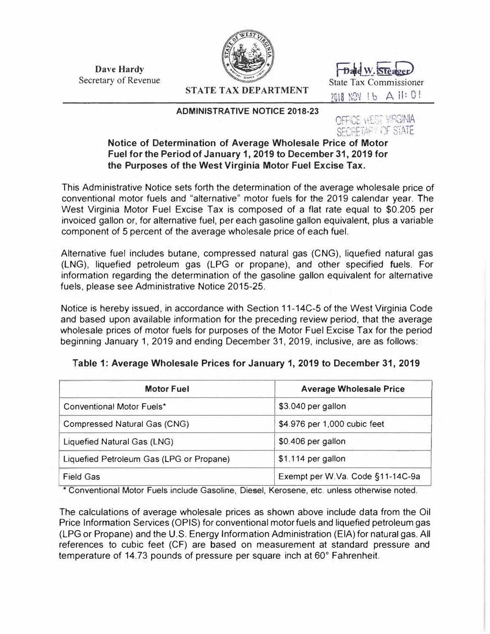**Dave Hardy**  Dave Hardy **Finds** Secretary of Revenue Finds of The State Tax Comm



**STATE TAX DEPARTMENT** 

#### **ADMINISTRATIVE NOTICE 2018-23**

State Tax Commissioner n10 *\·n,1* i 1J A ii: O ! JlO .,v. I �

# **OFFICE WEST VIRGINIA**

# SECRETARY OF STATE<br>Notice of Determination of Average Wholesale Price of Motor **Fuel for the Period of January 1, 2019 to December 31, 2019 for the Purposes of the West Virginia Motor Fuel Excise Tax.**

This Administrative Notice sets forth the determination of the average wholesale price of conventional motor fuels and "alternative" motor fuels for the 2019 calendar year. The West Virginia Motor Fuel Excise Tax is composed of a flat rate equal to \$0.205 per invoiced gallon or, for alternative fuel, per each gasoline gallon equivalent, plus a variable component of 5 percent of the average wholesale price of each fuel.

Alternative fuel includes butane, compressed natural gas (CNG), liquefied natural gas (LNG), liquefied petroleum gas (LPG or propane), and other specified fuels. For information regarding the determination of the gasoline gallon equivalent for alternative fuels, please see Administrative Notice 2015-25.

Notice is hereby issued, in accordance with Section 11-14C-5 of the West Virginia Code and based upon available information for the preceding review period, that the average wholesale prices of motor fuels for purposes of the Motor Fuel Excise Tax for the period beginning January 1, 2019 and ending December 31, 2019, inclusive, are as follows:

| <b>Motor Fuel</b>                        | <b>Average Wholesale Price</b>   |  |  |
|------------------------------------------|----------------------------------|--|--|
| <b>Conventional Motor Fuels*</b>         | \$3.040 per gallon               |  |  |
| <b>Compressed Natural Gas (CNG)</b>      | \$4.976 per 1,000 cubic feet     |  |  |
| Liquefied Natural Gas (LNG)              | \$0.406 per gallon               |  |  |
| Liquefied Petroleum Gas (LPG or Propane) | \$1.114 per gallon               |  |  |
| <b>Field Gas</b>                         | Exempt per W.Va. Code §11-14C-9a |  |  |

### **Table 1: Average Wholesale Prices for January 1, 2019 to December 31, 2019**

\* Conventional Motor Fuels include Gasoline, Diesel, Kerosene, etc. unless otherwise noted.

The calculations of average wholesale prices as shown above include data from the Oil Price Information Services (OPIS) for conventional motor fuels and liquefied petroleum gas (LPG or Propane) and the U.S. Energy Information Administration (EIA) for natural gas. All references to cubic feet (CF) are based on measurement at standard pressure and temperature of 14.73 pounds of pressure per square inch at 60° Fahrenheit.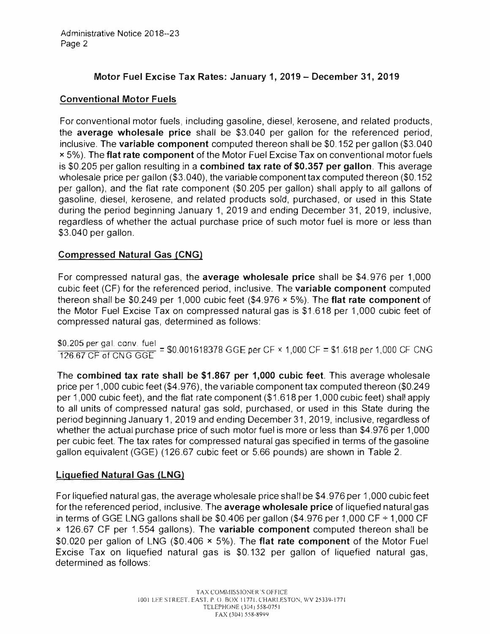# **Motor Fuel Excise Tax Rates: January 1, 2019- December 31, 2019**

### **Conventional Motor Fuels**

For conventional motor fuels, including gasoline, diesel, kerosene, and related products, the **average wholesale price** shall be \$3.040 per gallon for the referenced period, inclusive. The **variable component** computed thereon shall be \$0.152 per gallon (\$3.040 x 5%). The **flat rate component** of the Motor Fuel Excise Tax on conventional motor fuels is \$0.205 per gallon resulting in a **combined tax rate of \$0.357 per gallon.** This average wholesale price per gallon (\$3.040), the variable component tax computed thereon (\$0.152 per gallon), and the flat rate component (\$0.205 per gallon) shall apply to all gallons of gasoline, diesel, kerosene, and related products sold, purchased, or used in this State during the period beginning January 1, 2019 and ending December 31, 2019, inclusive, regardless of whether the actual purchase price of such motor fuel is more or less than \$3.040 per gallon.

# **Compressed Natural Gas (CNG)**

For compressed natural gas, the **average wholesale price** shall be \$4.976 per 1,000 cubic feet (CF) for the referenced period, inclusive. The **variable component** computed thereon shall be \$0.249 per 1,000 cubic feet (\$4.976 **x** 5%). The **flat rate component** of the Motor Fuel Excise Tax on compressed natural gas is \$1.618 per 1,000 cubic feet of compressed natural gas, determined as follows:

\$0.205 per gal. conv. fuel 126\_67 CF of CNG GGE = \$0.001618378 GGE per CF x 1,000 CF= \$1.618 per 1,000 CF CNG

The **combined tax rate shall be \$1.867 per 1,000 cubic feet.** This average wholesale price per 1,000 cubic feet (\$4.976), the variable component tax computed thereon (\$0.249 per 1,000 cubic feet), and the flat rate component (\$1.618 per 1,000 cubic feet) shall apply to all units of compressed natural gas sold, purchased, or used in this State during the period beginning January 1, 2019 and ending December 31, 2019, inclusive, regardless of whether the actual purchase price of such motor fuel is more or less than \$4.976 per 1,000 per cubic feet. The tax rates for compressed natural gas specified in terms of the gasoline gallon equivalent (GGE) (126.67 cubic feet or 5.66 pounds) are shown in Table 2.

### **Liquefied Natural Gas (LNG)**

For liquefied natural gas, the average wholesale price shall be \$4.976 per 1,000 cubic feet for the referenced period, inclusive. The **average wholesale price** of liquefied natural gas in terms of GGE LNG gallons shall be \$0.406 per gallon (\$4.976 per 1,000 CF  $\div$  1,000 CF x 126.67 CF per 1.554 gallons). The **variable component** computed thereon shall be \$0.020 per gallon of LNG (\$0.406 **x** 5%). The **flat rate component** of the Motor Fuel Excise Tax on liquefied natural gas is \$0.132 per gallon of liquefied natural gas, determined as follows: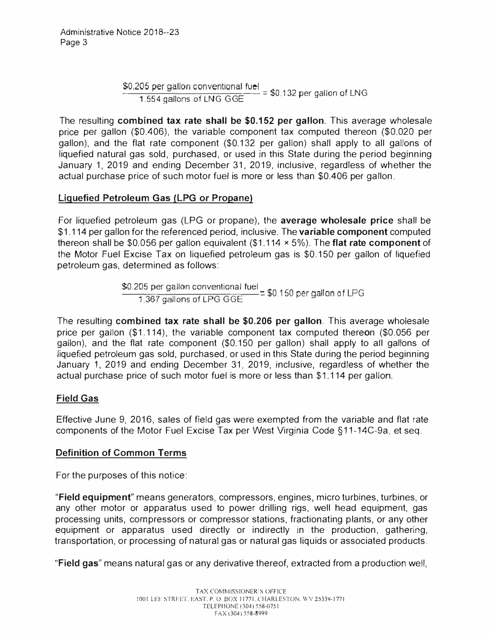\$0.205 per gallon conventional fuel =  $$0,132$  per gallon of LNG  $= 1.554$  gallons of LNG GGE

The resulting **combined tax rate shall be \$0.152 per gallon.** This average wholesale price per gallon (\$0.406), the variable component tax computed thereon (\$0.020 per gallon), and the flat rate component (\$0.132 per gallon) shall apply to all gallons of liquefied natural gas sold, purchased, or used in this State during the period beginning January 1, 2019 and ending December 31, 2019, inclusive, regardless of whether the actual purchase price of such motor fuel is more or less than \$0.406 per gallon.

### **Liquefied Petroleum Gas (LPG or Propane)**

For liquefied petroleum gas (LPG or propane), the **average wholesale price** shall be \$1.114 per gallon for the referenced period, inclusive. The **variable component** computed thereon shall be \$0.056 per gallon equivalent (\$1.114 >< 5%). The **flat rate component** of the Motor Fuel Excise Tax on liquefied petroleum gas is \$0.150 per gallon of liquefied petroleum gas, determined as follows:

\$0.205 per gallon conventional fuel 1.36-7 gallons of LPG G GE - \$0. 1 SO per gallon of LPG

The resulting **combined tax rate shall be \$0.206 per gallon.** This average wholesale price per gallon (\$1.114), the variable component tax computed thereon (\$0.056 per gallon), and the flat rate component (\$0.150 per gallon) shall apply to all gallons of liquefied petroleum gas sold, purchased, or used in this State during the period beginning January 1, 2019 and ending December 31, 2019, inclusive, regardless of whether the actual purchase price of such motor fuel is more or less than \$1.114 per gallon.

#### **Field Gas**

Effective June 9, 2016, sales of field gas were exempted from the variable and flat rate components of the Motor Fuel Excise Tax per West Virginia Code §11-14C-9a, et seq.

#### **Definition of Common Terms**

For the purposes of this notice:

**"Field equipment"** means generators, compressors, engines, micro turbines, turbines, or any other motor or apparatus used to power drilling rigs, well head equipment, gas processing units, compressors or compressor stations, fractionating plants, or any other equipment or apparatus used directly or indirectly in the production, gathering, transportation, or processing of natural gas or natural gas liquids or associated products.

**"Field gas"** means natural gas or any derivative thereof, extracted from a production well,